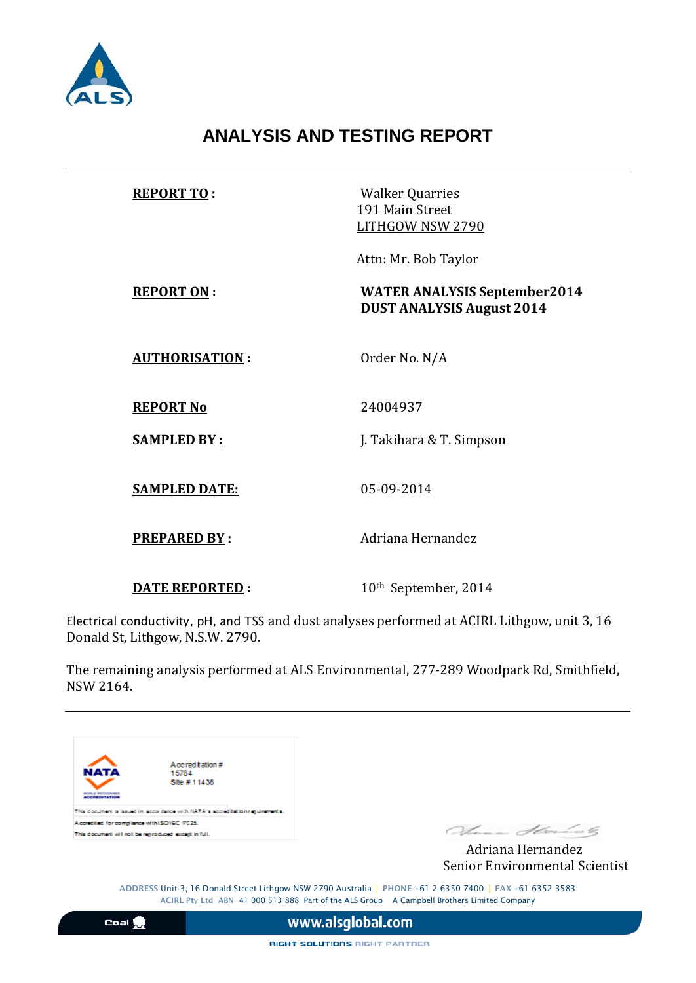

## **ANALYSIS AND TESTING REPORT**

| <b>REPORT TO:</b>     | <b>Walker Quarries</b><br>191 Main Street<br>LITHGOW NSW 2790           |
|-----------------------|-------------------------------------------------------------------------|
|                       | Attn: Mr. Bob Taylor                                                    |
| <b>REPORT ON:</b>     | <b>WATER ANALYSIS September2014</b><br><b>DUST ANALYSIS August 2014</b> |
| <b>AUTHORISATION:</b> | Order No. N/A                                                           |
| <b>REPORT No</b>      | 24004937                                                                |
| <b>SAMPLED BY:</b>    | J. Takihara & T. Simpson                                                |
| <b>SAMPLED DATE:</b>  | 05-09-2014                                                              |
| <b>PREPARED BY:</b>   | Adriana Hernandez                                                       |
| <b>DATE REPORTED:</b> | 10 <sup>th</sup> September, 2014                                        |

Electrical conductivity, pH, and TSS and dust analyses performed at ACIRL Lithgow, unit 3, 16 Donald St, Lithgow, N.S.W. 2790.

The remaining analysis performed at ALS Environmental, 277-289 Woodpark Rd, Smithfield, NSW 2164.



Senior Environmental Scientist

ADDRESS Unit 3, 16 Donald Street Lithgow NSW 2790 Australia | PHONE +61 2 6350 7400 | FAX +61 6352 3583 ACIRL Pty Ltd ABN 41 000 513 888 Part of the ALS Group A Campbell Brothers Limited Company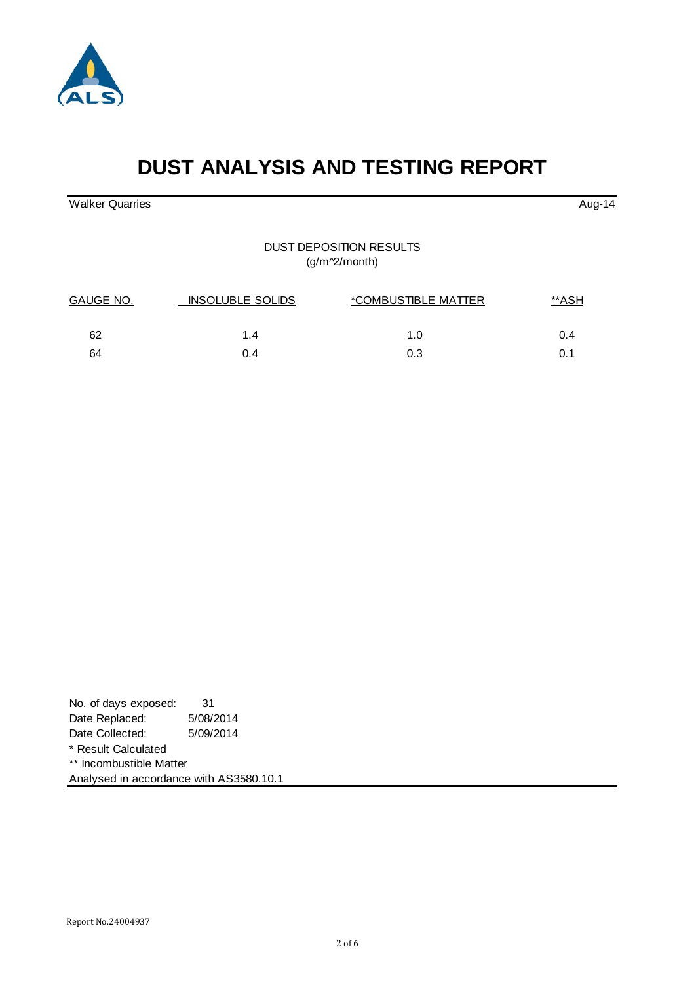

| No. of days exposed:                    | 31        |  |
|-----------------------------------------|-----------|--|
| Date Replaced:                          | 5/08/2014 |  |
| Date Collected:                         | 5/09/2014 |  |
| * Result Calculated                     |           |  |
| ** Incombustible Matter                 |           |  |
| Analysed in accordance with AS3580.10.1 |           |  |

# **DUST ANALYSIS AND TESTING REPORT**

Walker Quarries **Aug-14** Aug-14

DUST DEPOSITION RESULTS (g/m^2/month)

| GAUGE NO. | <b>INSOLUBLE SOLIDS</b> | *COMBUSTIBLE MATTER |     |
|-----------|-------------------------|---------------------|-----|
| 62        | 1.4                     | 1.0                 | 0.4 |
| 64        | 0.4                     | 0.3                 |     |

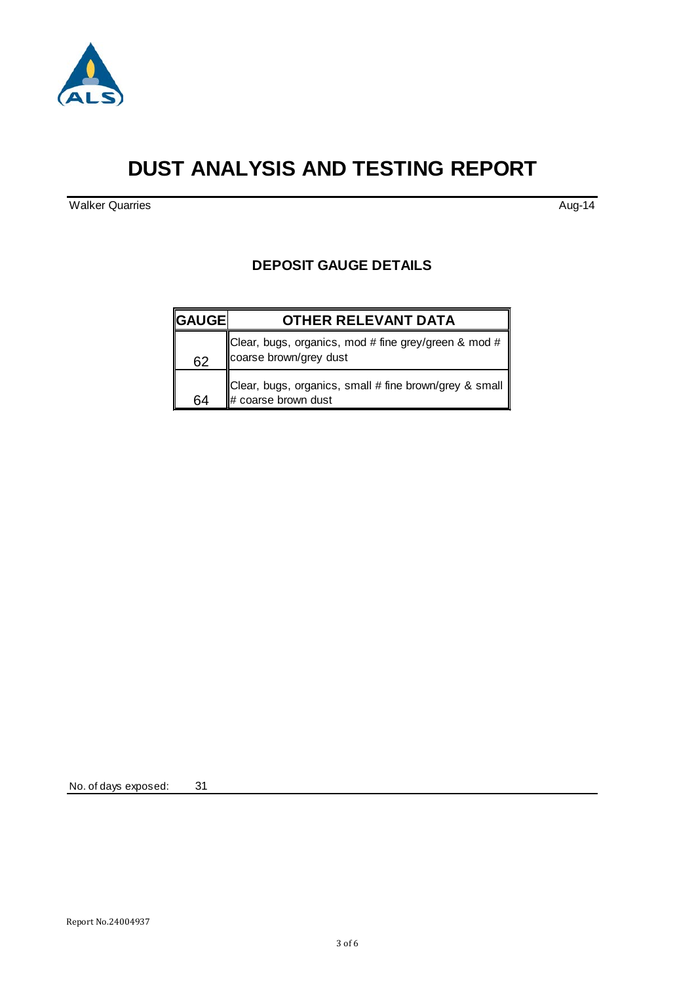

## **DUST ANALYSIS AND TESTING REPORT**

Walker Quarries Aug-14

#### **DEPOSIT GAUGE DETAILS**

| <b>GAUGE</b> | <b>OTHER RELEVANT DATA</b>                                                                 |
|--------------|--------------------------------------------------------------------------------------------|
| 62           | Clear, bugs, organics, mod # fine grey/green & mod # $\parallel$<br>coarse brown/grey dust |
| 64           | Clear, bugs, organics, small # fine brown/grey & small   <br>$\#$ coarse brown dust        |

No. of days exposed: 31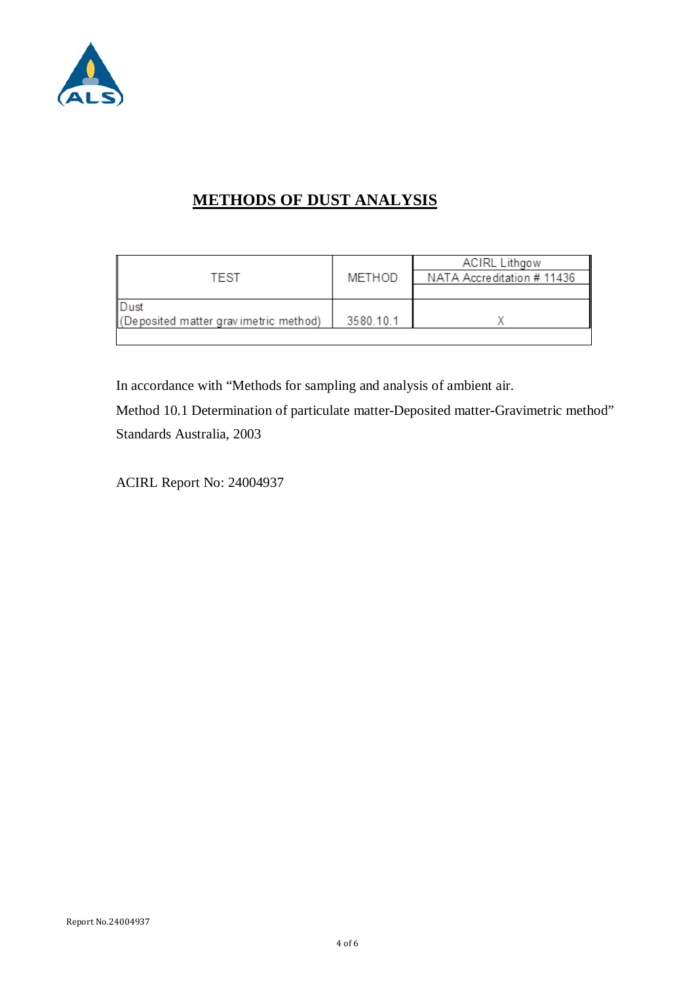

## **METHODS OF DUST ANALYSIS**

|                                       |           | <b>ACIRL Lithgow</b>       |
|---------------------------------------|-----------|----------------------------|
| TEST                                  | METHOD    | NATA Accreditation # 11436 |
|                                       |           |                            |
| Dust                                  |           |                            |
| (Deposited matter gravimetric method) | 3580.10.1 |                            |
|                                       |           |                            |

In accordance with "Methods for sampling and analysis of ambient air.

Method 10.1 Determination of particulate matter-Deposited matter-Gravimetric method" Standards Australia, 2003

ACIRL Report No: 24004937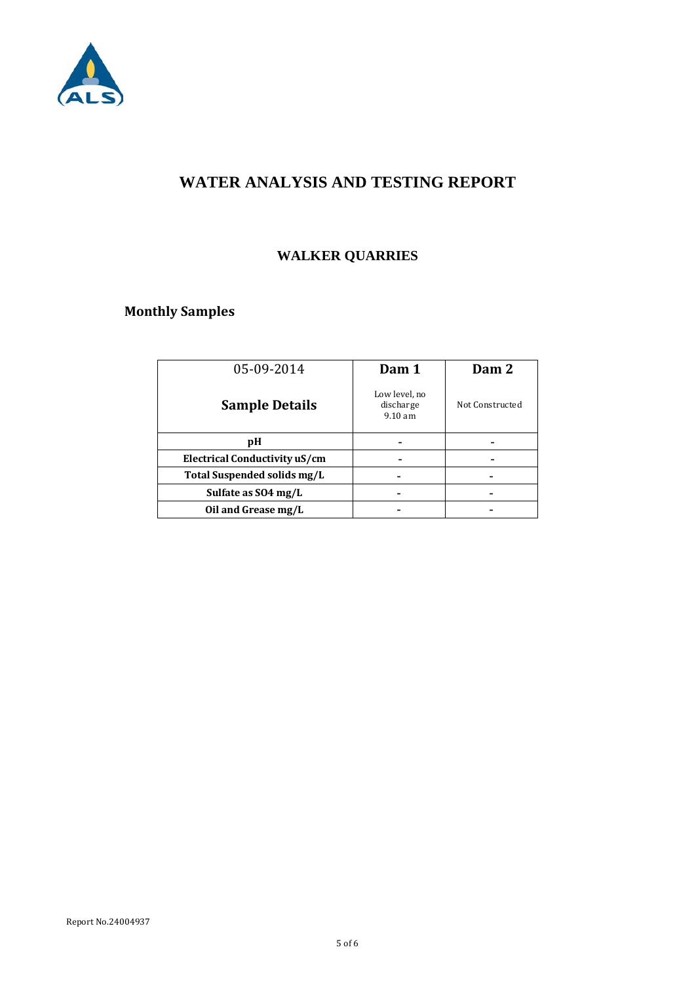

## **WATER ANALYSIS AND TESTING REPORT**

## **WALKER QUARRIES**

## **Monthly Samples**

| Dam 1                                           | Dam 2           |
|-------------------------------------------------|-----------------|
| Low level, no<br>discharge<br>$9.10 \text{ am}$ | Not Constructed |
|                                                 |                 |
|                                                 |                 |
|                                                 |                 |
|                                                 |                 |
|                                                 |                 |
|                                                 |                 |